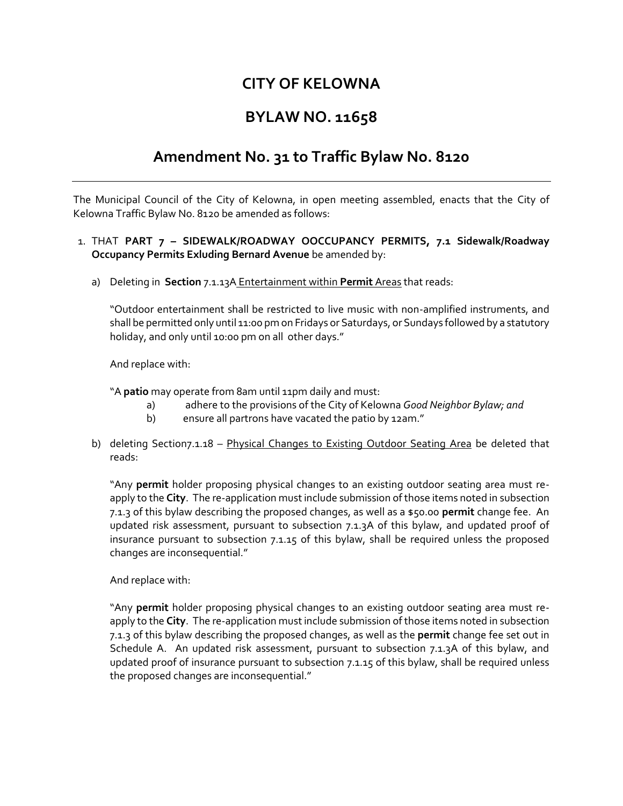# **CITY OF KELOWNA**

# **BYLAW NO. 11658**

# **Amendment No. 31 to Traffic Bylaw No. 8120**

The Municipal Council of the City of Kelowna, in open meeting assembled, enacts that the City of Kelowna Traffic Bylaw No. 8120 be amended as follows:

# 1. THAT **PART 7 – SIDEWALK/ROADWAY OOCCUPANCY PERMITS, 7.1 Sidewalk/Roadway Occupancy Permits Exluding Bernard Avenue** be amended by:

a) Deleting in **Section** 7.1.13A Entertainment within **Permit** Areas that reads:

"Outdoor entertainment shall be restricted to live music with non-amplified instruments, and shall be permitted only until 11:00 pm on Fridays or Saturdays, or Sundays followed by a statutory holiday, and only until 10:00 pm on all other days."

And replace with:

"A **patio** may operate from 8am until 11pm daily and must:

- a) adhere to the provisions of the City of Kelowna *Good Neighbor Bylaw; and*
- b) ensure all partrons have vacated the patio by 12am."
- b) deleting Section7.1.18 Physical Changes to Existing Outdoor Seating Area be deleted that reads:

"Any **permit** holder proposing physical changes to an existing outdoor seating area must reapply to the **City**. The re-application must include submission of those items noted in subsection 7.1.3 of this bylaw describing the proposed changes, as well as a \$50.00 **permit** change fee. An updated risk assessment, pursuant to subsection 7.1.3A of this bylaw, and updated proof of insurance pursuant to subsection 7.1.15 of this bylaw, shall be required unless the proposed changes are inconsequential."

And replace with:

"Any **permit** holder proposing physical changes to an existing outdoor seating area must reapply to the **City**. The re-application must include submission of those items noted in subsection 7.1.3 of this bylaw describing the proposed changes, as well as the **permit** change fee set out in Schedule A. An updated risk assessment, pursuant to subsection 7.1.3A of this bylaw, and updated proof of insurance pursuant to subsection 7.1.15 of this bylaw, shall be required unless the proposed changes are inconsequential."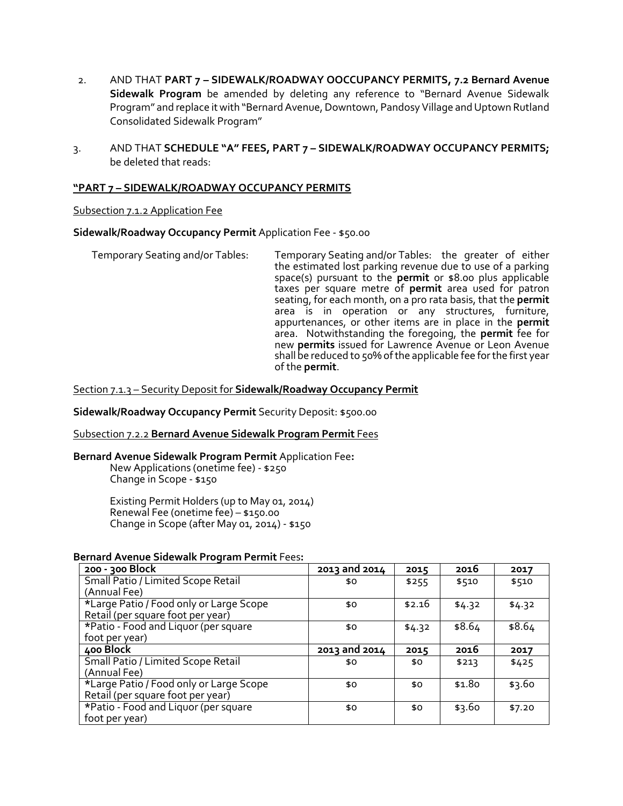- 2. AND THAT **PART 7 – SIDEWALK/ROADWAY OOCCUPANCY PERMITS, 7.2 Bernard Avenue Sidewalk Program** be amended by deleting any reference to "Bernard Avenue Sidewalk Program" and replace it with "Bernard Avenue, Downtown, Pandosy Village and Uptown Rutland Consolidated Sidewalk Program"
- 3. AND THAT **SCHEDULE "A" FEES, PART 7 – SIDEWALK/ROADWAY OCCUPANCY PERMITS;**  be deleted that reads:

# **"PART 7 – SIDEWALK/ROADWAY OCCUPANCY PERMITS**

## Subsection 7.1.2 Application Fee

## **Sidewalk/Roadway Occupancy Permit** Application Fee - \$50.00

Temporary Seating and/or Tables: Temporary Seating and/or Tables: the greater of either the estimated lost parking revenue due to use of a parking space(s) pursuant to the **permit** or \$8.00 plus applicable taxes per square metre of **permit** area used for patron seating, for each month, on a pro rata basis, that the **permit** area is in operation or any structures, furniture, appurtenances, or other items are in place in the **permit**  area. Notwithstanding the foregoing, the **permit** fee for new **permits** issued for Lawrence Avenue or Leon Avenue shall be reduced to 50% of the applicable fee for the first year of the **permit**.

#### Section 7.1.3 – Security Deposit for **Sidewalk/Roadway Occupancy Permit**

**Sidewalk/Roadway Occupancy Permit** Security Deposit: \$500.00

## Subsection 7.2.2 **Bernard Avenue Sidewalk Program Permit** Fees

## **Bernard Avenue Sidewalk Program Permit** Application Fee**:**

New Applications (onetime fee) - \$250 Change in Scope - \$150

Existing Permit Holders (up to May 01, 2014) Renewal Fee (onetime fee) – \$150.00 Change in Scope (after May 01, 2014) - \$150

| 200 - 300 Block                           | 2013 and 2014 | 2015   | 2016   | 2017   |
|-------------------------------------------|---------------|--------|--------|--------|
| <b>Small Patio / Limited Scope Retail</b> | \$0           | \$255  | \$510  | \$510  |
| (Annual Fee)                              |               |        |        |        |
| *Large Patio / Food only or Large Scope   | \$0           | \$2.16 | \$4.32 | \$4.32 |
| Retail (per square foot per year)         |               |        |        |        |
| *Patio - Food and Liquor (per square      | \$0           | \$4.32 | \$8.64 | \$8.64 |
| foot per year)                            |               |        |        |        |
| 400 Block                                 | 2013 and 2014 | 2015   | 2016   | 2017   |
| <b>Small Patio / Limited Scope Retail</b> | \$0           | \$0    | \$213  | \$425  |
| (Annual Fee)                              |               |        |        |        |
| *Large Patio / Food only or Large Scope   | \$0           | \$0    | \$1.80 | \$3.60 |
| Retail (per square foot per year)         |               |        |        |        |
| *Patio - Food and Liquor (per square      | \$0           | \$0    | \$3.60 | \$7.20 |
| foot per year)                            |               |        |        |        |

## **Bernard Avenue Sidewalk Program Permit** Fees**:**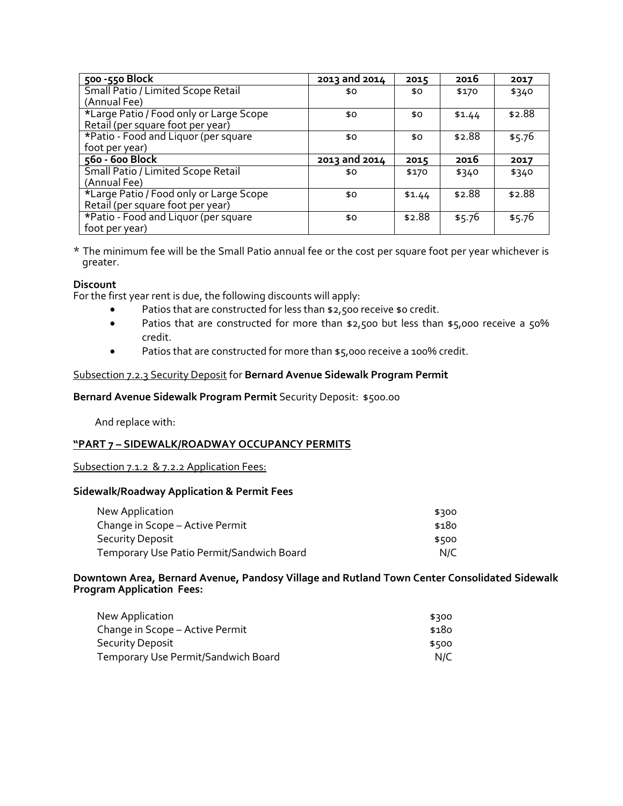| 500 -550 Block                            | 2013 and 2014 | 2015   | 2016   | 2017   |
|-------------------------------------------|---------------|--------|--------|--------|
| <b>Small Patio / Limited Scope Retail</b> | \$0           | \$0    | \$170  | \$340  |
| (Annual Fee)                              |               |        |        |        |
| *Large Patio / Food only or Large Scope   | \$0           | \$0    | \$1.44 | \$2.88 |
| Retail (per square foot per year)         |               |        |        |        |
| *Patio - Food and Liquor (per square      | \$0           | \$0    | \$2.88 | \$5.76 |
| foot per year)                            |               |        |        |        |
|                                           |               |        |        |        |
| 560 - 600 Block                           | 2013 and 2014 | 2015   | 2016   | 2017   |
| <b>Small Patio / Limited Scope Retail</b> | \$0           | \$170  | \$340  | \$340  |
| (Annual Fee)                              |               |        |        |        |
| *Large Patio / Food only or Large Scope   | \$0           | \$1.44 | \$2.88 | \$2.88 |
| Retail (per square foot per year)         |               |        |        |        |
| *Patio - Food and Liquor (per square      | \$0           | \$2.88 | \$5.76 | \$5.76 |

\* The minimum fee will be the Small Patio annual fee or the cost per square foot per year whichever is greater.

## **Discount**

For the first year rent is due, the following discounts will apply:

- Patios that are constructed for less than \$2,500 receive \$0 credit.
- Patios that are constructed for more than \$2,500 but less than \$5,000 receive a 50% credit.
- Patios that are constructed for more than \$5,000 receive a 100% credit.

## Subsection 7.2.3 Security Deposit for **Bernard Avenue Sidewalk Program Permit**

#### **Bernard Avenue Sidewalk Program Permit** Security Deposit: \$500.00

And replace with:

## **"PART 7 – SIDEWALK/ROADWAY OCCUPANCY PERMITS**

#### Subsection 7.1.2 & 7.2.2 Application Fees:

#### **Sidewalk/Roadway Application & Permit Fees**

| New Application                           | \$300 |
|-------------------------------------------|-------|
| Change in Scope – Active Permit           | \$180 |
| Security Deposit                          | \$500 |
| Temporary Use Patio Permit/Sandwich Board | N/C   |

#### **Downtown Area, Bernard Avenue, Pandosy Village and Rutland Town Center Consolidated Sidewalk Program Application Fees:**

| New Application                     | \$300 |
|-------------------------------------|-------|
| Change in Scope – Active Permit     | \$180 |
| Security Deposit                    | \$500 |
| Temporary Use Permit/Sandwich Board | N/C   |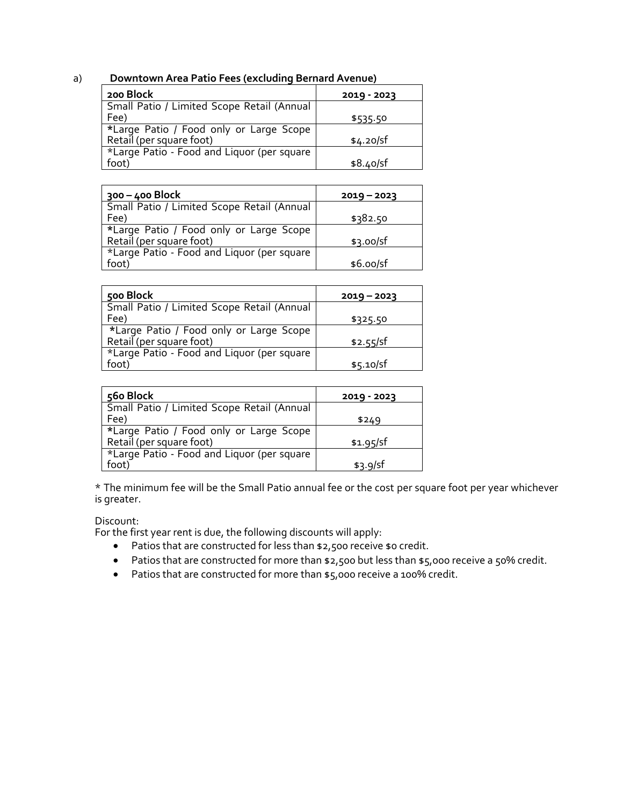# a) **Downtown Area Patio Fees (excluding Bernard Avenue)**

| 200 Block                                  | 2019 - 2023 |
|--------------------------------------------|-------------|
| Small Patio / Limited Scope Retail (Annual |             |
| Fee)                                       | \$535.50    |
| *Large Patio / Food only or Large Scope    |             |
| Retail (per square foot)                   | \$4.20/sf   |
| *Large Patio - Food and Liquor (per square |             |
| foot)                                      | \$8.40/sf   |

| 300 – 400 Block                            | $2019 - 2023$ |
|--------------------------------------------|---------------|
| Small Patio / Limited Scope Retail (Annual |               |
| Fee)                                       | \$382.50      |
| *Large Patio / Food only or Large Scope    |               |
| Retail (per square foot)                   | \$3.00/sf     |
| *Large Patio - Food and Liquor (per square |               |
| foot)                                      | \$6.00/sf     |

| 500 Block                                  | $2019 - 2023$ |
|--------------------------------------------|---------------|
| Small Patio / Limited Scope Retail (Annual |               |
| Fee)                                       | \$325.50      |
| *Large Patio / Food only or Large Scope    |               |
| Retail (per square foot)                   | $$2.55$ /sf   |
| *Large Patio - Food and Liquor (per square |               |
| foot)                                      | \$5.10/sf     |

| 560 Block                                  | 2019 - 2023 |
|--------------------------------------------|-------------|
| Small Patio / Limited Scope Retail (Annual |             |
| Fee)                                       | \$249       |
| *Large Patio / Food only or Large Scope    |             |
| Retail (per square foot)                   | \$1.95/sf   |
| *Large Patio - Food and Liquor (per square |             |
| foot)                                      | \$3.9/sf    |

\* The minimum fee will be the Small Patio annual fee or the cost per square foot per year whichever is greater.

# Discount:

For the first year rent is due, the following discounts will apply:

- Patios that are constructed for less than \$2,500 receive \$0 credit.
- Patios that are constructed for more than \$2,500 but less than \$5,000 receive a 50% credit.
- Patios that are constructed for more than \$5,000 receive a 100% credit.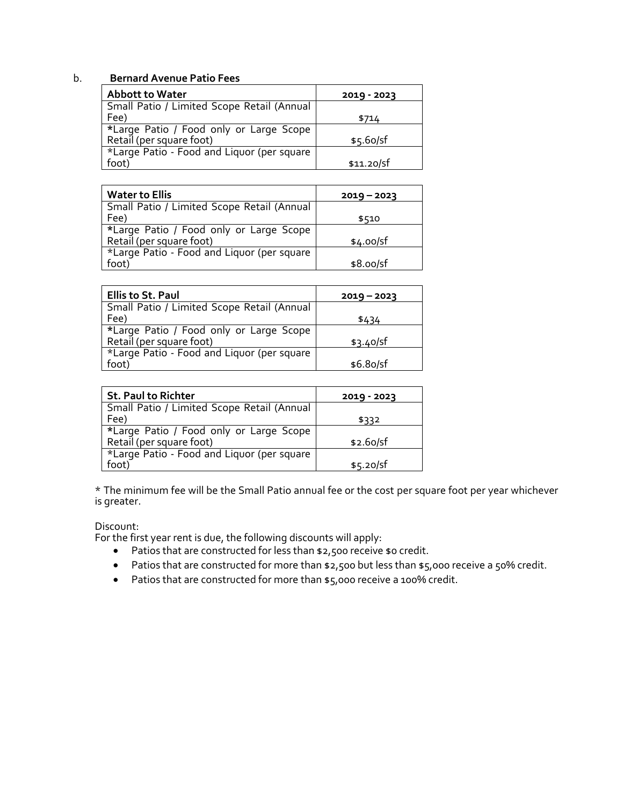# b. **Bernard Avenue Patio Fees**

| <b>Abbott to Water</b>                     | 2019 - 2023 |
|--------------------------------------------|-------------|
| Small Patio / Limited Scope Retail (Annual |             |
| Fee)                                       | \$714       |
| *Large Patio / Food only or Large Scope    |             |
| Retail (per square foot)                   | \$5.60/sf   |
| *Large Patio - Food and Liquor (per square |             |
| foot)                                      | \$11.20/sf  |

| <b>Water to Ellis</b>                      | $2019 - 2023$ |
|--------------------------------------------|---------------|
| Small Patio / Limited Scope Retail (Annual |               |
| Fee)                                       | \$510         |
| *Large Patio / Food only or Large Scope    |               |
| Retail (per square foot)                   | \$4.00/sf     |
| *Large Patio - Food and Liquor (per square |               |
| foot)                                      | \$8.00/sf     |

| Ellis to St. Paul                          | $2019 - 2023$ |
|--------------------------------------------|---------------|
| Small Patio / Limited Scope Retail (Annual |               |
| Fee)                                       | \$434         |
| *Large Patio / Food only or Large Scope    |               |
| Retail (per square foot)                   | \$3.40/sf     |
| *Large Patio - Food and Liquor (per square |               |
| foot)                                      | \$6.80/sf     |

| <b>St. Paul to Richter</b>                 | 2019 - 2023 |
|--------------------------------------------|-------------|
| Small Patio / Limited Scope Retail (Annual |             |
| Fee)                                       | \$332       |
| *Large Patio / Food only or Large Scope    |             |
| Retail (per square foot)                   | \$2.60/sf   |
| *Large Patio - Food and Liquor (per square |             |
| foot)                                      | \$5.20/sf   |

\* The minimum fee will be the Small Patio annual fee or the cost per square foot per year whichever is greater.

# Discount:

For the first year rent is due, the following discounts will apply:

- Patios that are constructed for less than  $$2,500$  receive  $$0$  credit.
- Patios that are constructed for more than \$2,500 but less than \$5,000 receive a 50% credit.
- Patios that are constructed for more than \$5,000 receive a 100% credit.